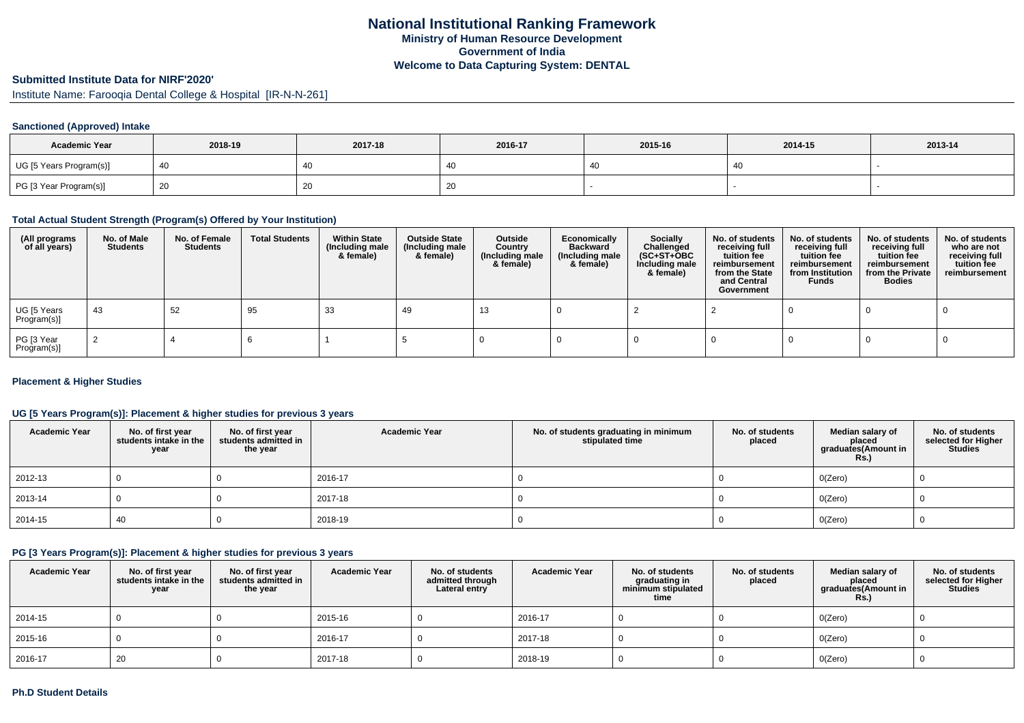#### **Submitted Institute Data for NIRF'2020'**

Institute Name: Farooqia Dental College & Hospital [IR-N-N-261]

#### **Sanctioned (Approved) Intake**

| <b>Academic Year</b>    | 2018-19 | 2017-18 | 2016-17 | 2015-16 | 2014-15 | 2013-14 |
|-------------------------|---------|---------|---------|---------|---------|---------|
| UG [5 Years Program(s)] |         | 40      |         |         | 40      |         |
| PG [3 Year Program(s)]  |         | 20      | ∠∪      |         |         |         |

#### **Total Actual Student Strength (Program(s) Offered by Your Institution)**

| (All programs<br>of all years) | No. of Male<br><b>Students</b> | No. of Female<br>Students | <b>Total Students</b> | <b>Within State</b><br>(Including male<br>& female) | <b>Outside State</b><br>(Including male<br>& female) | Outside<br>Country<br>(Including male<br>& female) | Economically<br><b>Backward</b><br>(Including male<br>& female) | <b>Socially</b><br>Challenged<br>$(SC+ST+OBC)$<br>Including male<br>& female) | No. of students<br>receiving full<br>tuition fee<br>reimbursement<br>from the State<br>and Central<br>Government | No. of students<br>receiving full<br>tuition fee<br>reimbursement<br>from Institution<br><b>Funds</b> | No. of students<br>receiving full<br>tuition fee<br>reimbursement<br>from the Private<br><b>Bodies</b> | No. of students<br>who are not<br>receiving full<br>tuition fee<br>reimbursement |
|--------------------------------|--------------------------------|---------------------------|-----------------------|-----------------------------------------------------|------------------------------------------------------|----------------------------------------------------|-----------------------------------------------------------------|-------------------------------------------------------------------------------|------------------------------------------------------------------------------------------------------------------|-------------------------------------------------------------------------------------------------------|--------------------------------------------------------------------------------------------------------|----------------------------------------------------------------------------------|
| UG [5 Years<br>Program(s)]     | 43                             | 52                        | 95                    | 33                                                  | 49                                                   | 13                                                 |                                                                 |                                                                               |                                                                                                                  |                                                                                                       |                                                                                                        |                                                                                  |
| PG [3 Year<br>Program(s)]      |                                |                           |                       |                                                     |                                                      |                                                    |                                                                 |                                                                               |                                                                                                                  |                                                                                                       |                                                                                                        |                                                                                  |

#### **Placement & Higher Studies**

#### **UG [5 Years Program(s)]: Placement & higher studies for previous 3 years**

| <b>Academic Year</b> | No. of first year<br>students intake in the<br>year | No. of first year<br>students admitted in<br>the year | <b>Academic Year</b> | No. of students graduating in minimum<br>stipulated time | No. of students<br>placed | Median salary of<br>placed<br>graduates(Amount in<br><b>Rs.)</b> | No. of students<br>selected for Higher<br><b>Studies</b> |
|----------------------|-----------------------------------------------------|-------------------------------------------------------|----------------------|----------------------------------------------------------|---------------------------|------------------------------------------------------------------|----------------------------------------------------------|
| 2012-13              |                                                     |                                                       | 2016-17              |                                                          |                           | O(Zero)                                                          |                                                          |
| 2013-14              |                                                     |                                                       | 2017-18              |                                                          |                           | O(Zero)                                                          |                                                          |
| 2014-15              | 40                                                  |                                                       | 2018-19              |                                                          |                           | O(Zero)                                                          |                                                          |

### **PG [3 Years Program(s)]: Placement & higher studies for previous 3 years**

| <b>Academic Year</b> | No. of first year<br>students intake in the<br>year | No. of first year<br>students admitted in<br>the year | <b>Academic Year</b> | No. of students<br>admitted through<br>Lateral entry | <b>Academic Year</b> | No. of students<br>graduating in<br>minimum stipulated<br>time | No. of students<br>placed | Median salary of<br>placed<br>graduates(Amount in<br><b>Rs.)</b> | No. of students<br>selected for Higher<br><b>Studies</b> |
|----------------------|-----------------------------------------------------|-------------------------------------------------------|----------------------|------------------------------------------------------|----------------------|----------------------------------------------------------------|---------------------------|------------------------------------------------------------------|----------------------------------------------------------|
| 2014-15              |                                                     |                                                       | 2015-16              |                                                      | 2016-17              |                                                                |                           | O(Zero)                                                          |                                                          |
| 2015-16              |                                                     |                                                       | 2016-17              |                                                      | 2017-18              |                                                                |                           | O(Zero)                                                          |                                                          |
| 2016-17              | 20                                                  |                                                       | 2017-18              |                                                      | 2018-19              |                                                                |                           | O(Zero)                                                          |                                                          |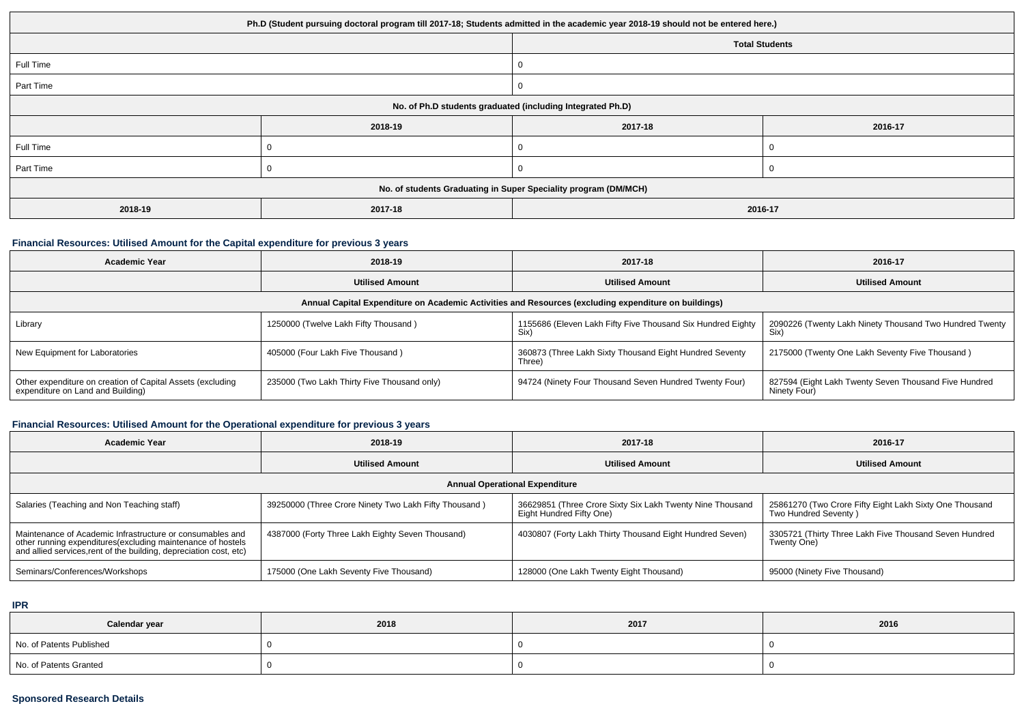| Ph.D (Student pursuing doctoral program till 2017-18; Students admitted in the academic year 2018-19 should not be entered here.) |         |                       |         |  |  |
|-----------------------------------------------------------------------------------------------------------------------------------|---------|-----------------------|---------|--|--|
|                                                                                                                                   |         | <b>Total Students</b> |         |  |  |
| Full Time                                                                                                                         |         |                       |         |  |  |
| Part Time                                                                                                                         |         |                       |         |  |  |
| No. of Ph.D students graduated (including Integrated Ph.D)                                                                        |         |                       |         |  |  |
|                                                                                                                                   | 2018-19 | 2017-18               | 2016-17 |  |  |
| Full Time                                                                                                                         |         |                       |         |  |  |
| Part Time                                                                                                                         |         |                       |         |  |  |
| No. of students Graduating in Super Speciality program (DM/MCH)                                                                   |         |                       |         |  |  |
| 2018-19                                                                                                                           | 2017-18 | 2016-17               |         |  |  |

## **Financial Resources: Utilised Amount for the Capital expenditure for previous 3 years**

| <b>Academic Year</b>                                                                                 | 2018-19                                     | 2017-18                                                             | 2016-17                                                               |  |  |  |  |
|------------------------------------------------------------------------------------------------------|---------------------------------------------|---------------------------------------------------------------------|-----------------------------------------------------------------------|--|--|--|--|
|                                                                                                      | <b>Utilised Amount</b>                      | <b>Utilised Amount</b>                                              | <b>Utilised Amount</b>                                                |  |  |  |  |
| Annual Capital Expenditure on Academic Activities and Resources (excluding expenditure on buildings) |                                             |                                                                     |                                                                       |  |  |  |  |
| Library                                                                                              | 1250000 (Twelve Lakh Fifty Thousand)        | 1155686 (Eleven Lakh Fifty Five Thousand Six Hundred Eighty<br>Six) | 2090226 (Twenty Lakh Ninety Thousand Two Hundred Twenty<br>Six)       |  |  |  |  |
| New Equipment for Laboratories                                                                       | 405000 (Four Lakh Five Thousand)            | 360873 (Three Lakh Sixty Thousand Eight Hundred Seventy<br>Three)   | 2175000 (Twenty One Lakh Seventy Five Thousand)                       |  |  |  |  |
| Other expenditure on creation of Capital Assets (excluding<br>expenditure on Land and Building)      | 235000 (Two Lakh Thirty Five Thousand only) | 94724 (Ninety Four Thousand Seven Hundred Twenty Four)              | 827594 (Eight Lakh Twenty Seven Thousand Five Hundred<br>Ninety Four) |  |  |  |  |

## **Financial Resources: Utilised Amount for the Operational expenditure for previous 3 years**

| <b>Academic Year</b>                                                                                                                                                                            | 2018-19                                               | 2017-18                                                                               | 2016-17                                                                         |  |  |  |  |
|-------------------------------------------------------------------------------------------------------------------------------------------------------------------------------------------------|-------------------------------------------------------|---------------------------------------------------------------------------------------|---------------------------------------------------------------------------------|--|--|--|--|
|                                                                                                                                                                                                 | <b>Utilised Amount</b>                                | <b>Utilised Amount</b>                                                                | <b>Utilised Amount</b>                                                          |  |  |  |  |
| <b>Annual Operational Expenditure</b>                                                                                                                                                           |                                                       |                                                                                       |                                                                                 |  |  |  |  |
| Salaries (Teaching and Non Teaching staff)                                                                                                                                                      | 39250000 (Three Crore Ninety Two Lakh Fifty Thousand) | 36629851 (Three Crore Sixty Six Lakh Twenty Nine Thousand<br>Eight Hundred Fifty One) | 25861270 (Two Crore Fifty Eight Lakh Sixty One Thousand<br>Two Hundred Seventy) |  |  |  |  |
| Maintenance of Academic Infrastructure or consumables and<br>other running expenditures (excluding maintenance of hostels<br>and allied services, rent of the building, depreciation cost, etc) | 4387000 (Forty Three Lakh Eighty Seven Thousand)      | 4030807 (Forty Lakh Thirty Thousand Eight Hundred Seven)                              | 3305721 (Thirty Three Lakh Five Thousand Seven Hundred<br>Twenty One)           |  |  |  |  |
| Seminars/Conferences/Workshops                                                                                                                                                                  | 175000 (One Lakh Seventy Five Thousand)               | 128000 (One Lakh Twenty Eight Thousand)                                               | 95000 (Ninety Five Thousand)                                                    |  |  |  |  |

**IPR**

| Calendar year            | 2018 | 2017 | 2016 |
|--------------------------|------|------|------|
| No. of Patents Published |      |      |      |
| No. of Patents Granted   |      |      |      |

## **Sponsored Research Details**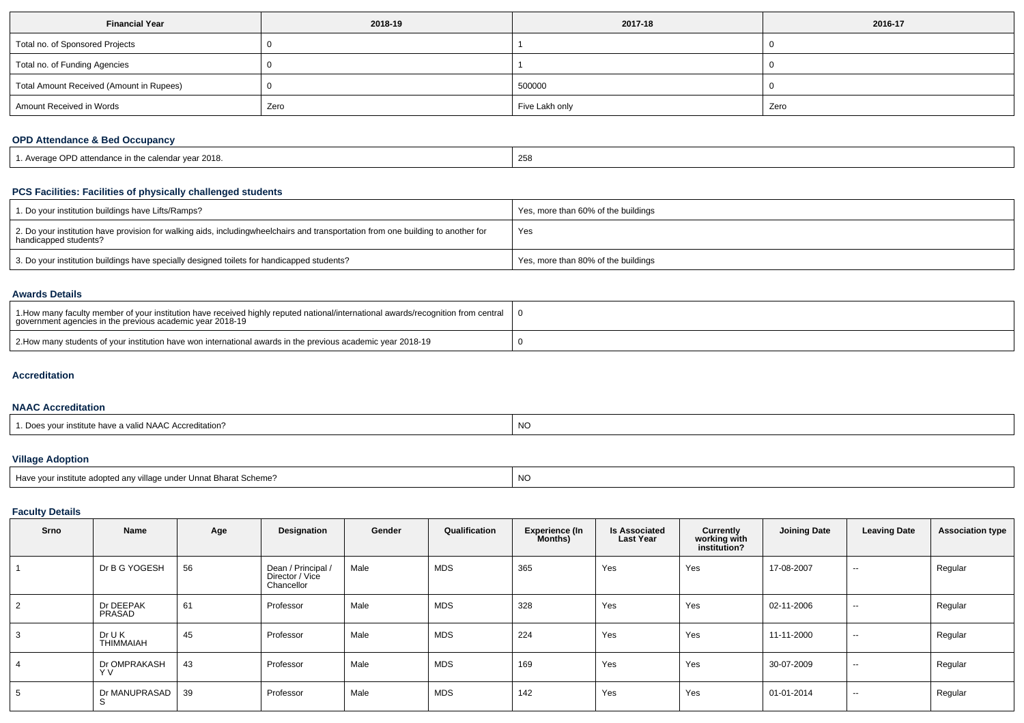| <b>Financial Year</b>                    | 2018-19 | 2017-18        | 2016-17 |
|------------------------------------------|---------|----------------|---------|
| Total no. of Sponsored Projects          |         |                |         |
| Total no. of Funding Agencies            |         |                |         |
| Total Amount Received (Amount in Rupees) |         | 500000         |         |
| Amount Received in Words                 | Zero    | Five Lakh only | Zero    |

## **OPD Attendance & Bed Occupancy**

| I. Average OPD attendance in the calendar year 2018. | 258 |
|------------------------------------------------------|-----|
|                                                      |     |

# **PCS Facilities: Facilities of physically challenged students**

| 1. Do your institution buildings have Lifts/Ramps?                                                                                                        | Yes, more than 60% of the buildings |
|-----------------------------------------------------------------------------------------------------------------------------------------------------------|-------------------------------------|
| 2. Do your institution have provision for walking aids, includingwheelchairs and transportation from one building to another for<br>handicapped students? | Yes                                 |
| 3. Do your institution buildings have specially designed toilets for handicapped students?                                                                | Yes, more than 80% of the buildings |

### **Awards Details**

| 10 1. How many faculty member of your institution have received highly reputed national/international awards/recognition from central   0<br>government agencies in the previous academic year 2018-19 |  |
|--------------------------------------------------------------------------------------------------------------------------------------------------------------------------------------------------------|--|
| 2. How many students of your institution have won international awards in the previous academic year 2018-19                                                                                           |  |

#### **Accreditation**

### **NAAC Accreditation**

| - הר<br>d NAAC Accreditation?<br>1/011<br>nstitute have a valid | NC |
|-----------------------------------------------------------------|----|
|-----------------------------------------------------------------|----|

# **Village Adoption**

| Have your institute adopted any village under Unnat Bharat Scheme? | -NC |
|--------------------------------------------------------------------|-----|
|                                                                    |     |

## **Faculty Details**

| Srno           | Name                       | Age | Designation                                         | Gender | Qualification | <b>Experience (In</b><br>Months) | <b>Is Associated</b><br><b>Last Year</b> | Currently<br>working with<br>institution? | <b>Joining Date</b> | <b>Leaving Date</b> | <b>Association type</b> |
|----------------|----------------------------|-----|-----------------------------------------------------|--------|---------------|----------------------------------|------------------------------------------|-------------------------------------------|---------------------|---------------------|-------------------------|
|                | Dr B G YOGESH              | 56  | Dean / Principal /<br>Director / Vice<br>Chancellor | Male   | MDS           | 365                              | Yes                                      | Yes                                       | 17-08-2007          | $\sim$              | Regular                 |
| $\overline{2}$ | Dr DEEPAK<br>PRASAD        | 61  | Professor                                           | Male   | MDS           | 328                              | Yes                                      | Yes                                       | 02-11-2006          | $\sim$              | Regular                 |
| 3              | Dr U K<br><b>THIMMAIAH</b> | 45  | Professor                                           | Male   | MDS           | 224                              | Yes                                      | Yes                                       | 11-11-2000          | $\sim$              | Regular                 |
| 4              | Dr OMPRAKASH<br>Y V        | 43  | Professor                                           | Male   | MDS           | 169                              | Yes                                      | Yes                                       | 30-07-2009          | $\sim$              | Regular                 |
| 5              | Dr MANUPRASAD<br>S         | 39  | Professor                                           | Male   | MDS           | 142                              | Yes                                      | Yes                                       | 01-01-2014          | $\sim$              | Regular                 |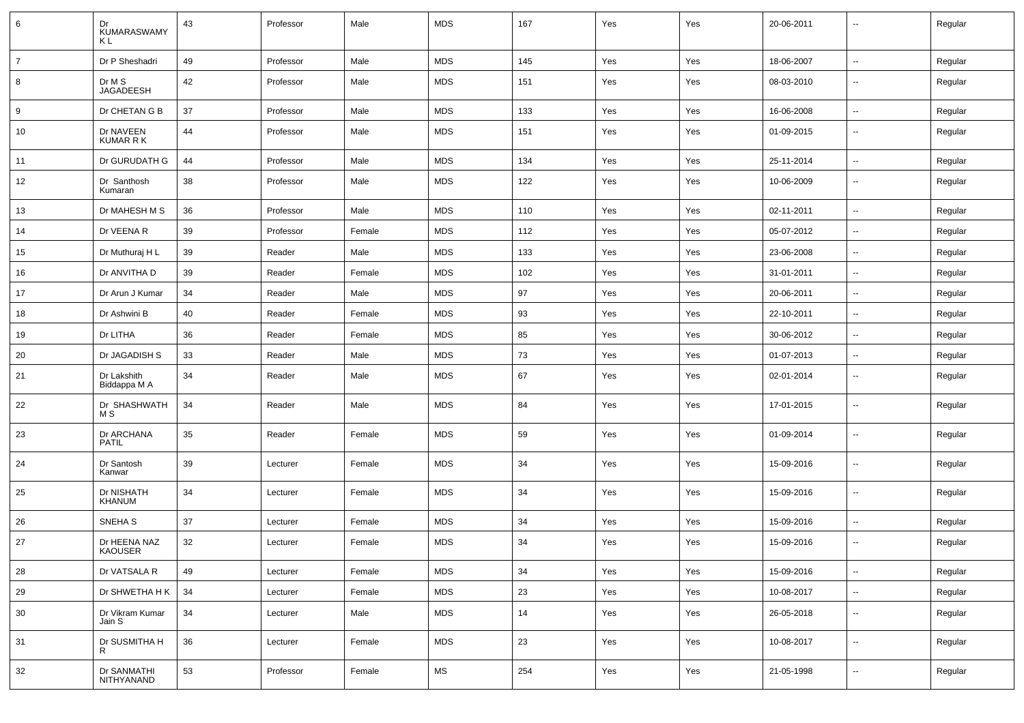| 6              | Dr<br><b>KUMARASWAMY</b><br>ΚL | 43 | Professor | Male   | <b>MDS</b> | 167 | Yes | Yes | 20-06-2011 | $\overline{\phantom{a}}$ | Regular |
|----------------|--------------------------------|----|-----------|--------|------------|-----|-----|-----|------------|--------------------------|---------|
| $\overline{7}$ | Dr P Sheshadri                 | 49 | Professor | Male   | <b>MDS</b> | 145 | Yes | Yes | 18-06-2007 | $\overline{\phantom{a}}$ | Regular |
| 8              | Dr M S<br><b>JAGADEESH</b>     | 42 | Professor | Male   | <b>MDS</b> | 151 | Yes | Yes | 08-03-2010 | $\overline{\phantom{a}}$ | Regular |
| 9              | Dr CHETAN G B                  | 37 | Professor | Male   | <b>MDS</b> | 133 | Yes | Yes | 16-06-2008 | $\overline{\phantom{a}}$ | Regular |
| 10             | Dr NAVEEN<br><b>KUMAR R K</b>  | 44 | Professor | Male   | MDS        | 151 | Yes | Yes | 01-09-2015 | $\overline{\phantom{a}}$ | Regular |
| 11             | Dr GURUDATH G                  | 44 | Professor | Male   | <b>MDS</b> | 134 | Yes | Yes | 25-11-2014 | $\overline{\phantom{a}}$ | Regular |
| 12             | Dr Santhosh<br>Kumaran         | 38 | Professor | Male   | <b>MDS</b> | 122 | Yes | Yes | 10-06-2009 | $\overline{\phantom{a}}$ | Regular |
| 13             | Dr MAHESH M S                  | 36 | Professor | Male   | <b>MDS</b> | 110 | Yes | Yes | 02-11-2011 | $\overline{\phantom{a}}$ | Regular |
| 14             | Dr VEENA R                     | 39 | Professor | Female | <b>MDS</b> | 112 | Yes | Yes | 05-07-2012 | $\overline{\phantom{a}}$ | Regular |
| 15             | Dr Muthuraj H L                | 39 | Reader    | Male   | <b>MDS</b> | 133 | Yes | Yes | 23-06-2008 | ۰.                       | Regular |
| 16             | Dr ANVITHA D                   | 39 | Reader    | Female | <b>MDS</b> | 102 | Yes | Yes | 31-01-2011 | $\overline{\phantom{a}}$ | Regular |
| 17             | Dr Arun J Kumar                | 34 | Reader    | Male   | <b>MDS</b> | 97  | Yes | Yes | 20-06-2011 | $\overline{\phantom{a}}$ | Regular |
| 18             | Dr Ashwini B                   | 40 | Reader    | Female | <b>MDS</b> | 93  | Yes | Yes | 22-10-2011 | $\overline{\phantom{a}}$ | Regular |
| 19             | Dr LITHA                       | 36 | Reader    | Female | <b>MDS</b> | 85  | Yes | Yes | 30-06-2012 | $\overline{\phantom{a}}$ | Regular |
| 20             | Dr JAGADISH S                  | 33 | Reader    | Male   | <b>MDS</b> | 73  | Yes | Yes | 01-07-2013 | $\overline{\phantom{a}}$ | Regular |
| 21             | Dr Lakshith<br>Biddappa M A    | 34 | Reader    | Male   | MDS        | 67  | Yes | Yes | 02-01-2014 | $\overline{\phantom{a}}$ | Regular |
| 22             | Dr SHASHWATH<br>M S            | 34 | Reader    | Male   | <b>MDS</b> | 84  | Yes | Yes | 17-01-2015 | --                       | Regular |
| 23             | Dr ARCHANA<br><b>PATIL</b>     | 35 | Reader    | Female | <b>MDS</b> | 59  | Yes | Yes | 01-09-2014 | $\overline{\phantom{a}}$ | Regular |
| 24             | Dr Santosh<br>Kanwar           | 39 | Lecturer  | Female | <b>MDS</b> | 34  | Yes | Yes | 15-09-2016 | $\overline{\phantom{a}}$ | Regular |
| 25             | Dr NISHATH<br><b>KHANUM</b>    | 34 | Lecturer  | Female | MDS        | 34  | Yes | Yes | 15-09-2016 | $\sim$                   | Regular |
| 26             | SNEHA <sub>S</sub>             | 37 | Lecturer  | Female | <b>MDS</b> | 34  | Yes | Yes | 15-09-2016 | $\overline{\phantom{a}}$ | Regular |
| 27             | Dr HEENA NAZ<br><b>KAOUSER</b> | 32 | Lecturer  | Female | <b>MDS</b> | 34  | Yes | Yes | 15-09-2016 | $\overline{\phantom{a}}$ | Regular |
| 28             | Dr VATSALA R                   | 49 | Lecturer  | Female | <b>MDS</b> | 34  | Yes | Yes | 15-09-2016 | $\overline{\phantom{a}}$ | Regular |
| 29             | Dr SHWETHA H K                 | 34 | Lecturer  | Female | <b>MDS</b> | 23  | Yes | Yes | 10-08-2017 | $\overline{\phantom{a}}$ | Regular |
| 30             | Dr Vikram Kumar<br>Jain S      | 34 | Lecturer  | Male   | MDS        | 14  | Yes | Yes | 26-05-2018 | ۰.                       | Regular |
| 31             | Dr SUSMITHA H<br>R.            | 36 | Lecturer  | Female | <b>MDS</b> | 23  | Yes | Yes | 10-08-2017 | $\overline{\phantom{a}}$ | Regular |
| 32             | Dr SANMATHI<br>NITHYANAND      | 53 | Professor | Female | MS         | 254 | Yes | Yes | 21-05-1998 | ۰.                       | Regular |